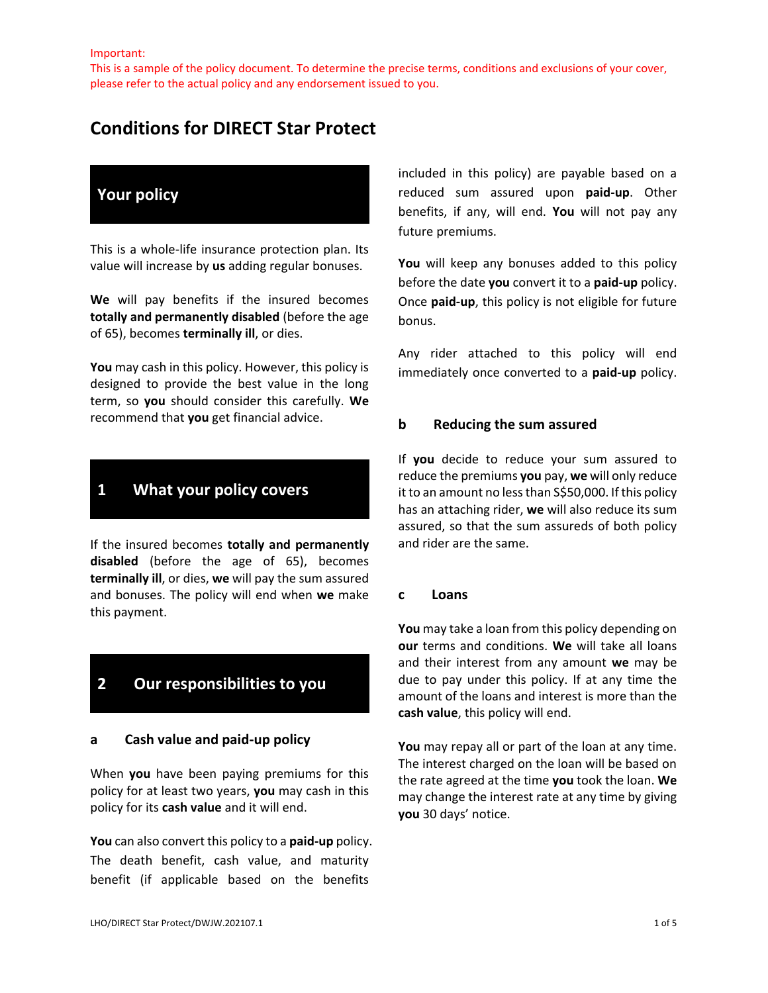This is a sample of the policy document. To determine the precise terms, conditions and exclusions of your cover, please refer to the actual policy and any endorsement issued to you.

# **Conditions for DIRECT Star Protect**

# **Your policy**

This is a whole-life insurance protection plan. Its value will increase by **us** adding regular bonuses.

**We** will pay benefits if the insured becomes **totally and permanently disabled** (before the age of 65), becomes **terminally ill**, or dies.

**You** may cash in this policy. However, this policy is designed to provide the best value in the long term, so **you** should consider this carefully. **We**  recommend that **you** get financial advice.

## **1 What your policy covers**

If the insured becomes **totally and permanently disabled** (before the age of 65), becomes **terminally ill**, or dies, **we** will pay the sum assured and bonuses. The policy will end when **we** make this payment.

# **2 Our responsibilities to you**

#### **a Cash value and paid-up policy**

When **you** have been paying premiums for this policy for at least two years, **you** may cash in this policy for its **cash value** and it will end.

**You** can also convert this policy to a **paid-up** policy. The death benefit, cash value, and maturity benefit (if applicable based on the benefits

included in this policy) are payable based on a reduced sum assured upon **paid-up**. Other benefits, if any, will end. **You** will not pay any future premiums.

**You** will keep any bonuses added to this policy before the date **you** convert it to a **paid-up** policy. Once **paid-up**, this policy is not eligible for future bonus.

Any rider attached to this policy will end immediately once converted to a **paid-up** policy.

#### **b Reducing the sum assured**

If **you** decide to reduce your sum assured to reduce the premiums **you** pay, **we** will only reduce it to an amount no less than S\$50,000. If this policy has an attaching rider, **we** will also reduce its sum assured, so that the sum assureds of both policy and rider are the same.

#### **c Loans**

**You** may take a loan from this policy depending on **our** terms and conditions. **We** will take all loans and their interest from any amount **we** may be due to pay under this policy. If at any time the amount of the loans and interest is more than the **cash value**, this policy will end.

**You** may repay all or part of the loan at any time. The interest charged on the loan will be based on the rate agreed at the time **you** took the loan. **We** may change the interest rate at any time by giving **you** 30 days' notice.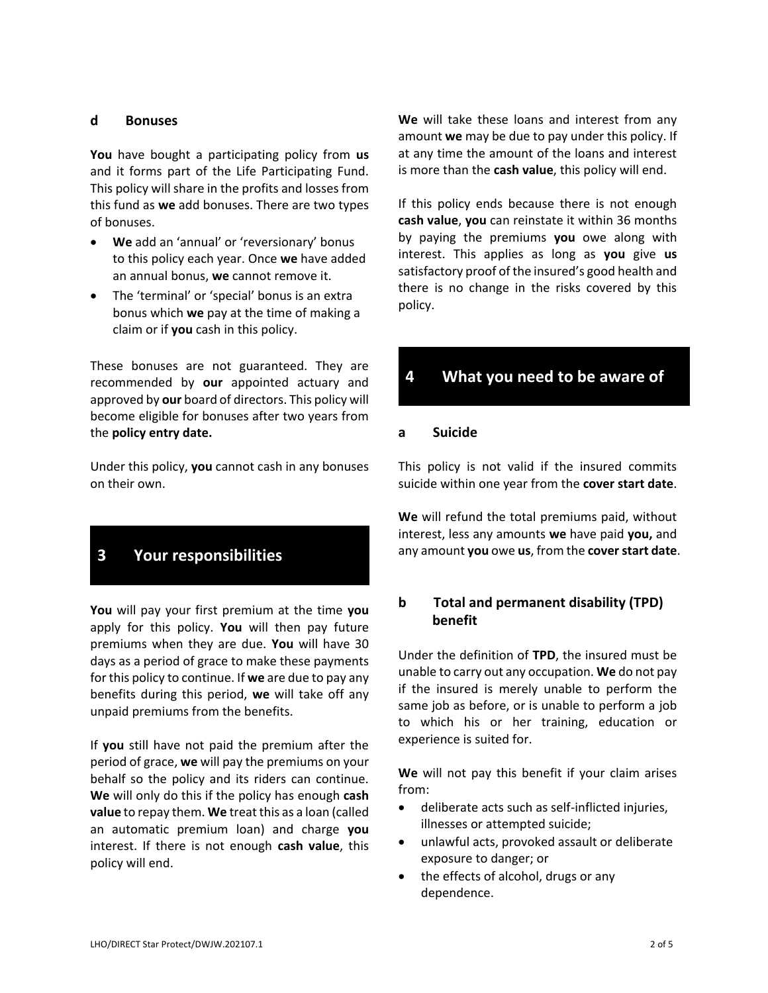### **d Bonuses**

**You** have bought a participating policy from **us**  and it forms part of the Life Participating Fund. This policy will share in the profits and losses from this fund as **we** add bonuses. There are two types of bonuses.

- **We** add an 'annual' or 'reversionary' bonus to this policy each year. Once **we** have added an annual bonus, **we** cannot remove it.
- The 'terminal' or 'special' bonus is an extra bonus which **we** pay at the time of making a claim or if **you** cash in this policy.

These bonuses are not guaranteed. They are recommended by **our** appointed actuary and approved by **our** board of directors. This policy will become eligible for bonuses after two years from the **policy entry date.**

Under this policy, **you** cannot cash in any bonuses on their own.

# **3 Your responsibilities**

**You** will pay your first premium at the time **you**  apply for this policy. **You** will then pay future premiums when they are due. **You** will have 30 days as a period of grace to make these payments for this policy to continue. If **we** are due to pay any benefits during this period, **we** will take off any unpaid premiums from the benefits.

If **you** still have not paid the premium after the period of grace, **we** will pay the premiums on your behalf so the policy and its riders can continue. **We** will only do this if the policy has enough **cash value** to repay them. **We** treat this as a loan (called an automatic premium loan) and charge **you**  interest. If there is not enough **cash value**, this policy will end.

**We** will take these loans and interest from any amount **we** may be due to pay under this policy. If at any time the amount of the loans and interest is more than the **cash value**, this policy will end.

If this policy ends because there is not enough **cash value**, **you** can reinstate it within 36 months by paying the premiums **you** owe along with interest. This applies as long as **you** give **us**  satisfactory proof of the insured's good health and there is no change in the risks covered by this policy.

# **4 What you need to be aware of**

#### **a Suicide**

This policy is not valid if the insured commits suicide within one year from the **cover start date**.

**We** will refund the total premiums paid, without interest, less any amounts **we** have paid **you,** and any amount **you** owe **us**, from the **cover start date**.

## **b Total and permanent disability (TPD) benefit**

Under the definition of **TPD**, the insured must be unable to carry out any occupation. **We** do not pay if the insured is merely unable to perform the same job as before, or is unable to perform a job to which his or her training, education or experience is suited for.

**We** will not pay this benefit if your claim arises from:

- deliberate acts such as self-inflicted injuries, illnesses or attempted suicide;
- unlawful acts, provoked assault or deliberate exposure to danger; or
- the effects of alcohol, drugs or any dependence.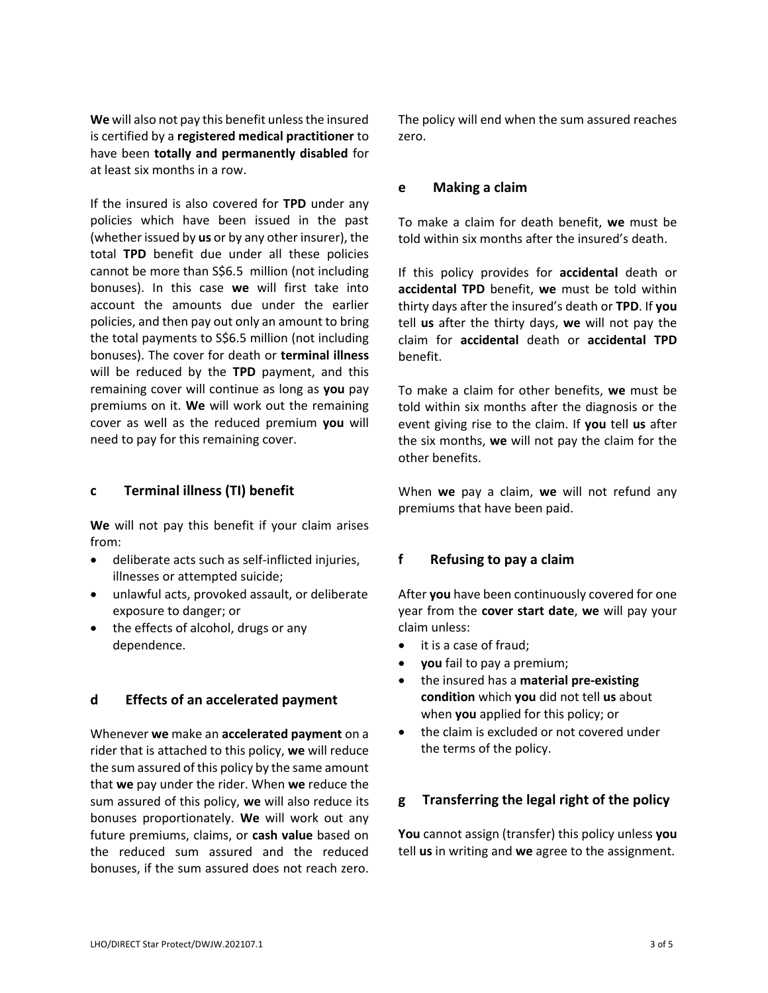**We** will also not pay this benefit unless the insured is certified by a **registered medical practitioner** to have been **totally and permanently disabled** for at least six months in a row.

If the insured is also covered for **TPD** under any policies which have been issued in the past (whether issued by **us** or by any other insurer), the total **TPD** benefit due under all these policies cannot be more than S\$6.5 million (not including bonuses). In this case **we** will first take into account the amounts due under the earlier policies, and then pay out only an amount to bring the total payments to S\$6.5 million (not including bonuses). The cover for death or **terminal illness** will be reduced by the **TPD** payment, and this remaining cover will continue as long as **you** pay premiums on it. **We** will work out the remaining cover as well as the reduced premium **you** will need to pay for this remaining cover.

### **c Terminal illness (TI) benefit**

**We** will not pay this benefit if your claim arises from:

- deliberate acts such as self-inflicted injuries, illnesses or attempted suicide;
- unlawful acts, provoked assault, or deliberate exposure to danger; or
- the effects of alcohol, drugs or any dependence.

## **d Effects of an accelerated payment**

Whenever **we** make an **accelerated payment** on a rider that is attached to this policy, **we** will reduce the sum assured of this policy by the same amount that **we** pay under the rider. When **we** reduce the sum assured of this policy, **we** will also reduce its bonuses proportionately. **We** will work out any future premiums, claims, or **cash value** based on the reduced sum assured and the reduced bonuses, if the sum assured does not reach zero.

The policy will end when the sum assured reaches zero.

#### **e Making a claim**

To make a claim for death benefit, **we** must be told within six months after the insured's death.

If this policy provides for **accidental** death or **accidental TPD** benefit, **we** must be told within thirty days after the insured's death or **TPD**. If **you** tell **us** after the thirty days, **we** will not pay the claim for **accidental** death or **accidental TPD** benefit.

To make a claim for other benefits, **we** must be told within six months after the diagnosis or the event giving rise to the claim. If **you** tell **us** after the six months, **we** will not pay the claim for the other benefits.

When **we** pay a claim, **we** will not refund any premiums that have been paid.

## **f Refusing to pay a claim**

After **you** have been continuously covered for one year from the **cover start date**, **we** will pay your claim unless:

- it is a case of fraud;
- **you** fail to pay a premium;
- the insured has a **material pre-existing condition** which **you** did not tell **us** about when **you** applied for this policy; or
- the claim is excluded or not covered under the terms of the policy.

## **g Transferring the legal right of the policy**

**You** cannot assign (transfer) this policy unless **you** tell **us** in writing and **we** agree to the assignment.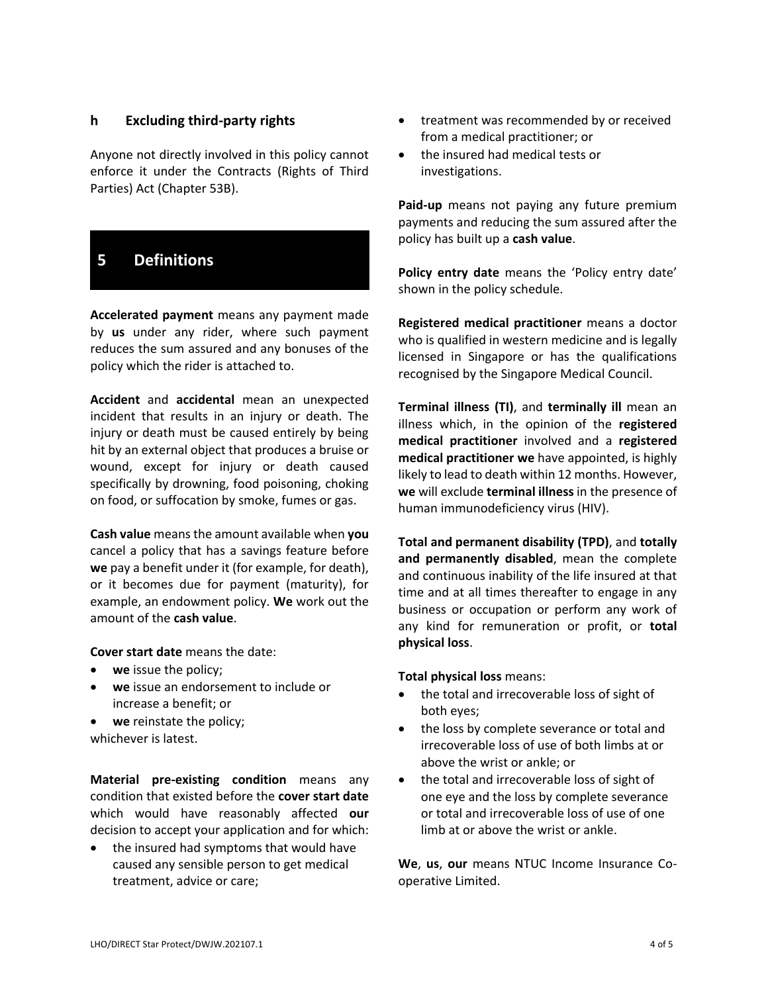## **h Excluding third-party rights**

Anyone not directly involved in this policy cannot enforce it under the Contracts (Rights of Third Parties) Act (Chapter 53B).

# **5 Definitions**

**Accelerated payment** means any payment made by **us** under any rider, where such payment reduces the sum assured and any bonuses of the policy which the rider is attached to.

**Accident** and **accidental** mean an unexpected incident that results in an injury or death. The injury or death must be caused entirely by being hit by an external object that produces a bruise or wound, except for injury or death caused specifically by drowning, food poisoning, choking on food, or suffocation by smoke, fumes or gas.

**Cash value** means the amount available when **you** cancel a policy that has a savings feature before **we** pay a benefit under it (for example, for death), or it becomes due for payment (maturity), for example, an endowment policy. **We** work out the amount of the **cash value**.

**Cover start date** means the date:

- **we** issue the policy;
- **we** issue an endorsement to include or increase a benefit; or
- **we** reinstate the policy; whichever is latest.

**Material pre-existing condition** means any condition that existed before the **cover start date** which would have reasonably affected **our** decision to accept your application and for which:

• the insured had symptoms that would have caused any sensible person to get medical treatment, advice or care;

- treatment was recommended by or received from a medical practitioner; or
- the insured had medical tests or investigations.

**Paid-up** means not paying any future premium payments and reducing the sum assured after the policy has built up a **cash value**.

**Policy entry date** means the 'Policy entry date' shown in the policy schedule.

**Registered medical practitioner** means a doctor who is qualified in western medicine and is legally licensed in Singapore or has the qualifications recognised by the Singapore Medical Council.

**Terminal illness (TI)**, and **terminally ill** mean an illness which, in the opinion of the **registered medical practitioner** involved and a **registered medical practitioner we** have appointed, is highly likely to lead to death within 12 months. However, **we** will exclude **terminal illness** in the presence of human immunodeficiency virus (HIV).

**Total and permanent disability (TPD)**, and **totally and permanently disabled**, mean the complete and continuous inability of the life insured at that time and at all times thereafter to engage in any business or occupation or perform any work of any kind for remuneration or profit, or **total physical loss**.

**Total physical loss** means:

- the total and irrecoverable loss of sight of both eyes;
- the loss by complete severance or total and irrecoverable loss of use of both limbs at or above the wrist or ankle; or
- the total and irrecoverable loss of sight of one eye and the loss by complete severance or total and irrecoverable loss of use of one limb at or above the wrist or ankle.

**We**, **us**, **our** means NTUC Income Insurance Cooperative Limited.